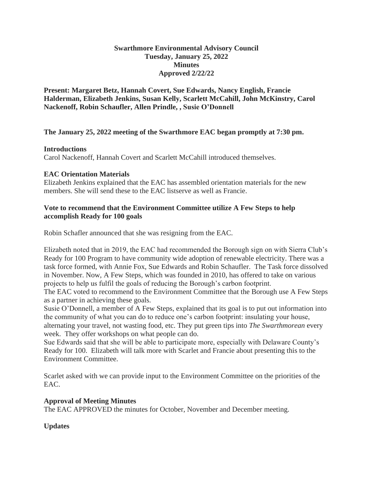#### **Swarthmore Environmental Advisory Council Tuesday, January 25, 2022 Minutes Approved 2/22/22**

**Present: Margaret Betz, Hannah Covert, Sue Edwards, Nancy English, Francie Halderman, Elizabeth Jenkins, Susan Kelly, Scarlett McCahill, John McKinstry, Carol Nackenoff, Robin Schaufler, Allen Prindle, , Susie O'Donnell**

### **The January 25, 2022 meeting of the Swarthmore EAC began promptly at 7:30 pm.**

### **Introductions**

Carol Nackenoff, Hannah Covert and Scarlett McCahill introduced themselves.

### **EAC Orientation Materials**

Elizabeth Jenkins explained that the EAC has assembled orientation materials for the new members. She will send these to the EAC listserve as well as Francie.

### **Vote to recommend that the Environment Committee utilize A Few Steps to help accomplish Ready for 100 goals**

Robin Schafler announced that she was resigning from the EAC.

Elizabeth noted that in 2019, the EAC had recommended the Borough sign on with Sierra Club's Ready for 100 Program to have community wide adoption of renewable electricity. There was a task force formed, with Annie Fox, Sue Edwards and Robin Schaufler. The Task force dissolved in November. Now, A Few Steps, which was founded in 2010, has offered to take on various projects to help us fulfil the goals of reducing the Borough's carbon footprint.

The EAC voted to recommend to the Environment Committee that the Borough use A Few Steps as a partner in achieving these goals.

Susie O'Donnell, a member of A Few Steps, explained that its goal is to put out information into the community of what you can do to reduce one's carbon footprint: insulating your house, alternating your travel, not wasting food, etc. They put green tips into *The Swarthmorean* every week. They offer workshops on what people can do.

Sue Edwards said that she will be able to participate more, especially with Delaware County's Ready for 100. Elizabeth will talk more with Scarlet and Francie about presenting this to the Environment Committee.

Scarlet asked with we can provide input to the Environment Committee on the priorities of the EAC.

### **Approval of Meeting Minutes**

The EAC APPROVED the minutes for October, November and December meeting.

**Updates**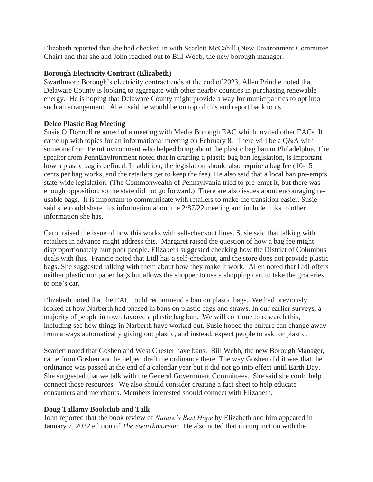Elizabeth reported that she had checked in with Scarlett McCahill (New Environment Committee Chair) and that she and John reached out to Bill Webb, the new borough manager.

### **Borough Electricity Contract (Elizabeth)**

Swarthmore Borough's electricity contract ends at the end of 2023. Allen Prindle noted that Delaware County is looking to aggregate with other nearby counties in purchasing renewable energy. He is hoping that Delaware County might provide a way for municipalities to opt into such an arrangement. Allen said he would be on top of this and report back to us.

#### **Delco Plastic Bag Meeting**

Susie O'Donnell reported of a meeting with Media Borough EAC which invited other EACs. It came up with topics for an informational meeting on February 8. There will be a Q&A with someone from PennEnvironment who helped bring about the plastic bag ban in Philadelphia. The speaker from PennEnvironment noted that in crafting a plastic bag ban legislation, is important how a plastic bag is defined. In addition, the legislation should also require a bag fee (10-15 cents per bag works, and the retailers get to keep the fee). He also said that a local ban pre-empts state-wide legislation. (The Commonwealth of Pennsylvania tried to pre-empt it, but there was enough opposition, so the state did not go forward.) There are also issues about encouraging reusable bags. It is important to communicate with retailers to make the transition easier. Susie said she could share this information about the 2/87/22 meeting and include links to other information she has.

Carol raised the issue of how this works with self-checkout lines. Susie said that talking with retailers in advance might address this. Margaret raised the question of how a bag fee might disproportionately hurt poor people. Elizabeth suggested checking how the District of Columbus deals with this. Francie noted that Lidl has a self-checkout, and the store does not provide plastic bags. She suggested talking with them about how they make it work. Allen noted that Lidl offers neither plastic nor paper bags but allows the shopper to use a shopping cart to take the groceries to one's car.

Elizabeth noted that the EAC could recommend a ban on plastic bags. We had previously looked at how Narberth had phased in bans on plastic bags and straws. In our earlier surveys, a majority of people in town favored a plastic bag ban. We will continue to research this, including see how things in Narberth have worked out. Susie hoped the culture can change away from always automatically giving out plastic, and instead, expect people to ask for plastic.

Scarlett noted that Goshen and West Chester have bans. Bill Webb, the new Borough Manager, came from Goshen and he helped draft the ordinance there. The way Goshen did it was that the ordinance was passed at the end of a calendar year but it did not go into effect until Earth Day. She suggested that we talk with the General Government Committees. She said she could help connect those resources. We also should consider creating a fact sheet to help educate consumers and merchants. Members interested should connect with Elizabeth.

### **Doug Tallamy Bookclub and Talk**

John reported that the book review of *Nature's Best Hope* by Elizabeth and him appeared in January 7, 2022 edition of *The Swarthmorean*. He also noted that in conjunction with the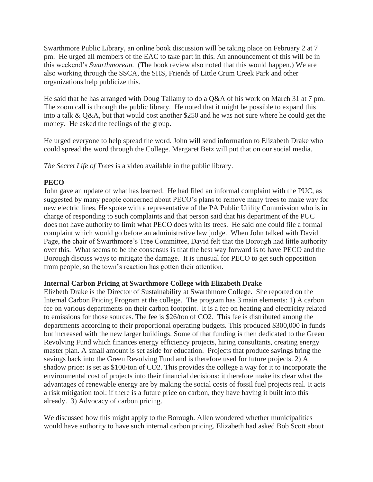Swarthmore Public Library, an online book discussion will be taking place on February 2 at 7 pm. He urged all members of the EAC to take part in this. An announcement of this will be in this weekend's *Swarthmorean.* (The book review also noted that this would happen.) We are also working through the SSCA, the SHS, Friends of Little Crum Creek Park and other organizations help publicize this.

He said that he has arranged with Doug Tallamy to do a Q&A of his work on March 31 at 7 pm. The zoom call is through the public library. He noted that it might be possible to expand this into a talk & Q&A, but that would cost another \$250 and he was not sure where he could get the money. He asked the feelings of the group.

He urged everyone to help spread the word. John will send information to Elizabeth Drake who could spread the word through the College. Margaret Betz will put that on our social media.

*The Secret Life of Trees* is a video available in the public library.

# **PECO**

John gave an update of what has learned. He had filed an informal complaint with the PUC, as suggested by many people concerned about PECO's plans to remove many trees to make way for new electric lines. He spoke with a representative of the PA Public Utility Commission who is in charge of responding to such complaints and that person said that his department of the PUC does not have authority to limit what PECO does with its trees. He said one could file a formal complaint which would go before an administrative law judge. When John talked with David Page, the chair of Swarthmore's Tree Committee, David felt that the Borough had little authority over this. What seems to be the consensus is that the best way forward is to have PECO and the Borough discuss ways to mitigate the damage. It is unusual for PECO to get such opposition from people, so the town's reaction has gotten their attention.

### **Internal Carbon Pricing at Swarthmore College with Elizabeth Drake**

Elizbeth Drake is the Director of Sustainability at Swarthmore College. She reported on the Internal Carbon Pricing Program at the college. The program has 3 main elements: 1) A carbon fee on various departments on their carbon footprint. It is a fee on heating and electricity related to emissions for those sources. The fee is \$26/ton of CO2. This fee is distributed among the departments according to their proportional operating budgets. This produced \$300,000 in funds but increased with the new larger buildings. Some of that funding is then dedicated to the Green Revolving Fund which finances energy efficiency projects, hiring consultants, creating energy master plan. A small amount is set aside for education. Projects that produce savings bring the savings back into the Green Revolving Fund and is therefore used for future projects. 2) A shadow price: is set as \$100/ton of CO2. This provides the college a way for it to incorporate the environmental cost of projects into their financial decisions: it therefore make its clear what the advantages of renewable energy are by making the social costs of fossil fuel projects real. It acts a risk mitigation tool: if there is a future price on carbon, they have having it built into this already. 3) Advocacy of carbon pricing.

We discussed how this might apply to the Borough. Allen wondered whether municipalities would have authority to have such internal carbon pricing. Elizabeth had asked Bob Scott about